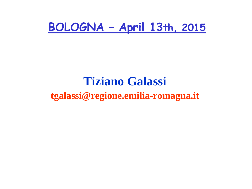### **BOLOGNA – April 13th, 2015**

### **Tiziano Galassi tgalassi@regione.emilia-romagna.it**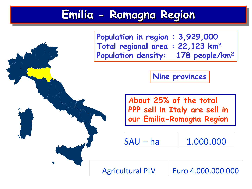## **Emilia - Romagna Region**



**Nine provinces**

**About 25% of the total PPP sell in Italy are sell in our Emilia-Romagna Region**

| SAU – ha | 1.000.000 |
|----------|-----------|
|----------|-----------|

Agricultural PLV | Euro 4.000.000.000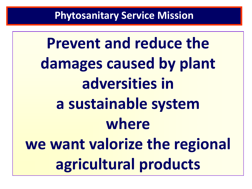**Prevent and reduce the damages caused by plant adversities in a sustainable system where we want valorize the regional agricultural products**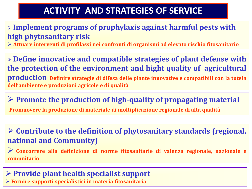#### **ACTIVITY AND STRATEGIES OF SERVICE**

#### **Implement programs of prophylaxis against harmful pests with high phytosanitary risk**

**Attuare interventi di profilassi nei confronti di organismi ad elevato rischio fitosanitario**

 **Define innovative and compatible strategies of plant defense with the protection of the environment and hight quality of agricultural production Definire strategie di difesa delle piante innovative e compatibili con la tutela dell'ambiente e produzioni agricole e di qualità**

**Promote the production of high-quality of propagating material**

**Promuovere la produzione di materiale di moltiplicazione regionale di alta qualità**

 **Contribute to the definition of phytosanitary standards (regional, national and Community)**

 **Concorrere alla definizione di norme fitosanitarie di valenza regionale, nazionale <sup>e</sup> comunitario**

#### **Provide plant health specialist support Fornire supporti specialistici in materia fitosanitaria**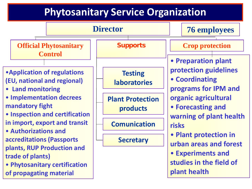### **Phytosanitary Service Organization**

|                                                                                                                                                                                                                                                                                                                                                                                     |  | <b>Director</b>                                 |  |                                       |                                                                 |                                                                               | <b>76 employees</b> |  |
|-------------------------------------------------------------------------------------------------------------------------------------------------------------------------------------------------------------------------------------------------------------------------------------------------------------------------------------------------------------------------------------|--|-------------------------------------------------|--|---------------------------------------|-----------------------------------------------------------------|-------------------------------------------------------------------------------|---------------------|--|
|                                                                                                                                                                                                                                                                                                                                                                                     |  | <b>Official Phytosanitary</b><br><b>Control</b> |  | <b>Supports</b>                       |                                                                 | <b>Crop protection</b>                                                        |                     |  |
|                                                                                                                                                                                                                                                                                                                                                                                     |  |                                                 |  |                                       |                                                                 |                                                                               | • Preparation plant |  |
| <b>• Application of regulations</b><br>(EU, national and regional)<br>• Land monitoring<br><b>• Implementation decrees</b><br>mandatory fight<br>• Inspection and certification<br>in import, export and transit<br>• Authorizations and<br>accreditations (Passports<br>plants, RUP Production and<br>trade of plants)<br>• Phytosanitary certification<br>of propagating material |  |                                                 |  | <b>Testing</b><br><b>laboratories</b> | protection guidelines<br>• Coordinating<br>programs for IPM and |                                                                               |                     |  |
|                                                                                                                                                                                                                                                                                                                                                                                     |  |                                                 |  | <b>Plant Protection</b><br>products   |                                                                 | organic agricultural<br>• Forecasting and<br>warning of plant health<br>risks |                     |  |
|                                                                                                                                                                                                                                                                                                                                                                                     |  |                                                 |  | <b>Comunication</b>                   |                                                                 |                                                                               |                     |  |
|                                                                                                                                                                                                                                                                                                                                                                                     |  |                                                 |  | <b>Secretary</b>                      |                                                                 | • Plant protection in<br>urban areas and forest                               |                     |  |
|                                                                                                                                                                                                                                                                                                                                                                                     |  |                                                 |  |                                       |                                                                 | <b>• Experiments and</b><br>studies in the field of<br>plant health           |                     |  |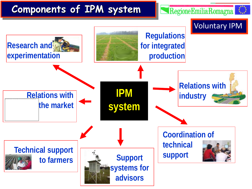#### **Components of IPM system**

Regione Emilia Romagna

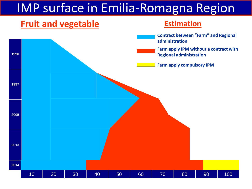## IMP surface in Emilia-Romagna Region

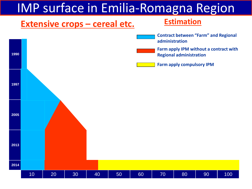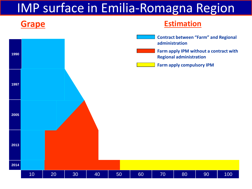## IMP surface in Emilia-Romagna Region

#### **Grape**



#### **Estimation**

- **Contract between "Farm" and Regional administration**
- **Farm apply IPM without a contract with Regional administration**
- **Farm apply compulsory IPM**

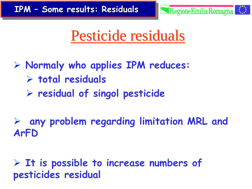

Pesticide residuals

 **Normaly who applies IPM reduces: total residuals residual of singol pesticide**

 **any problem regarding limitation MRL and ArFD**

 **It is possible to increase numbers of pesticides residual**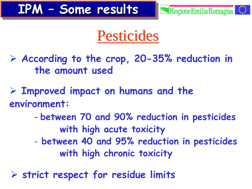

# **Pesticides**

 **According to the crop, 20-35% reduction in the amount used** 

 **Improved impact on humans and the environment:**

- **between 70 and 90% reduction in pesticides with high acute toxicity**
- **between 40 and 95% reduction in pesticides with high chronic toxicity**

**strict respect for residue limits**